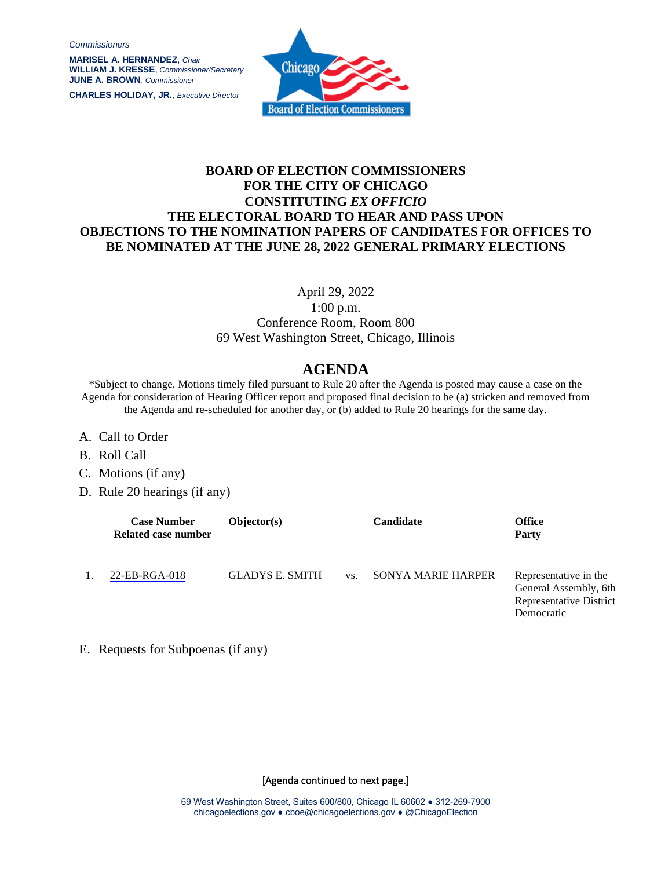*Commissioners*

**MARISEL A. HERNANDEZ**, *Chair* **WILLIAM J. KRESSE**, *Commissioner/Secretary* **JUNE A. BROWN***, Commissioner*

**CHARLES HOLIDAY, JR.**, *Executive Director*



## **BOARD OF ELECTION COMMISSIONERS FOR THE CITY OF CHICAGO CONSTITUTING** *EX OFFICIO* **THE ELECTORAL BOARD TO HEAR AND PASS UPON OBJECTIONS TO THE NOMINATION PAPERS OF CANDIDATES FOR OFFICES TO BE NOMINATED AT THE JUNE 28, 2022 GENERAL PRIMARY ELECTIONS**

April 29, 2022

1:00 p.m. Conference Room, Room 800 69 West Washington Street, Chicago, Illinois

## **AGENDA**

\*Subject to change. Motions timely filed pursuant to Rule 20 after the Agenda is posted may cause a case on the Agenda for consideration of Hearing Officer report and proposed final decision to be (a) stricken and removed from the Agenda and re-scheduled for another day, or (b) added to Rule 20 hearings for the same day.

- A. Call to Order
- B. Roll Call
- C. Motions (if any)
- D. Rule 20 hearings (if any)

| <b>Case Number</b><br>Related case number | Objector(s)            |     | <b>Candidate</b>          | Office<br><b>Party</b>                                                                  |
|-------------------------------------------|------------------------|-----|---------------------------|-----------------------------------------------------------------------------------------|
| 22-EB-RGA-018                             | <b>GLADYS E. SMITH</b> | VS. | <b>SONYA MARIE HARPER</b> | Representative in the<br>General Assembly, 6th<br>Representative District<br>Democratic |

E. Requests for Subpoenas (if any)

[Agenda continued to next page.]

69 West Washington Street, Suites 600/800, Chicago IL 60602 ● 312-269-7900 chicagoelections.gov ● cboe@chicagoelections.gov ● @ChicagoElection